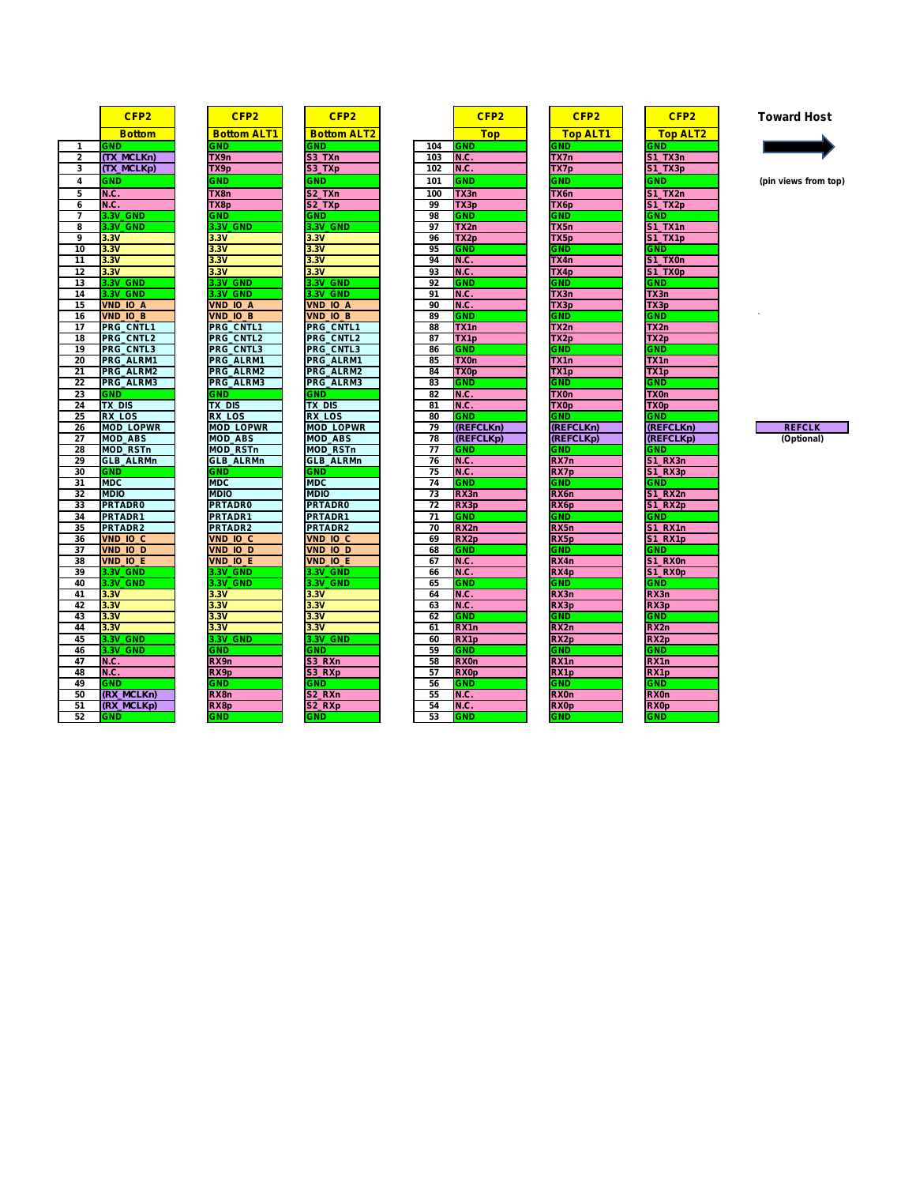|                 | CFP <sub>2</sub>                            |  |  |  |  |  |
|-----------------|---------------------------------------------|--|--|--|--|--|
|                 | <u>Bottom</u>                               |  |  |  |  |  |
| 1               | <b>GND</b>                                  |  |  |  |  |  |
| $\overline{c}$  | (TX_MCLKn)                                  |  |  |  |  |  |
| 3               | $(TX_MCLKp)$                                |  |  |  |  |  |
| 4               | <b>GND</b>                                  |  |  |  |  |  |
| 5               | N.C.                                        |  |  |  |  |  |
| 6               | N.C                                         |  |  |  |  |  |
| 7               | 3.3V GND                                    |  |  |  |  |  |
| 8               | 3V<br><b>GND</b>                            |  |  |  |  |  |
| 9               | 3V<br>3.                                    |  |  |  |  |  |
| 10              |                                             |  |  |  |  |  |
| $\overline{11}$ | $\frac{3.3V}{3.3V}$ $\frac{3.3V}{3.3V}$     |  |  |  |  |  |
| 12              |                                             |  |  |  |  |  |
| 13              | 3V<br><b>GND</b><br>3.                      |  |  |  |  |  |
| 14              | <b>GND</b><br>3.3V                          |  |  |  |  |  |
| 15              | <b>VND</b>                                  |  |  |  |  |  |
| 16              | $\frac{IO}{IO}$ $\frac{A}{B}$<br><b>VND</b> |  |  |  |  |  |
| 17              | <b>PRG</b><br>Ċ<br><b>NTL1</b>              |  |  |  |  |  |
| 18              | <b>PRG CNTL</b><br>2                        |  |  |  |  |  |
| 19              | <b>CNTL</b><br><b>PRG</b><br>3              |  |  |  |  |  |
| 20              | <b>PRG</b><br>ALRM1                         |  |  |  |  |  |
| 21              | PRG<br>ALRM <sub>2</sub>                    |  |  |  |  |  |
| 22              | <b>PRG</b><br>ALRM3                         |  |  |  |  |  |
| 23              | <b>GND</b>                                  |  |  |  |  |  |
| 24              | TX_DIS                                      |  |  |  |  |  |
| 25              | <b>RX LOS</b>                               |  |  |  |  |  |
| 26              | LOPWR<br><b>MOD</b>                         |  |  |  |  |  |
| 27              | <b>MOD</b><br><b>ABS</b>                    |  |  |  |  |  |
| 28              | <b>MOD</b><br><b>RSTn</b>                   |  |  |  |  |  |
| 29              | GLB_ALRMn                                   |  |  |  |  |  |
| 30              | <b>GND</b>                                  |  |  |  |  |  |
| 31              | <b>MDC</b>                                  |  |  |  |  |  |
| 32              | <b>MDIO</b>                                 |  |  |  |  |  |
| 33              | <b>PRTADR0</b>                              |  |  |  |  |  |
| 34              | <b>PRTADR1</b>                              |  |  |  |  |  |
| 35              | <b>PRTADR2</b>                              |  |  |  |  |  |
| 36              | $\overline{10}$<br><b>VND</b><br>C          |  |  |  |  |  |
| 37              | <b>VND</b><br><b>IO</b><br>D                |  |  |  |  |  |
| 38              | $\frac{1}{10}$ E<br><b>VND</b>              |  |  |  |  |  |
| 39              | 3.3V<br><b>GND</b>                          |  |  |  |  |  |
| 40              | 3.3V<br><b>GND</b>                          |  |  |  |  |  |
| 41              | 3.3V                                        |  |  |  |  |  |
| 42              | $\frac{3.3V}{3.3V}$                         |  |  |  |  |  |
| 43              |                                             |  |  |  |  |  |
| 44              | 3V<br>3.                                    |  |  |  |  |  |
| 45              | 3.<br>3V<br>GND                             |  |  |  |  |  |
| 46              | 3.3V<br>GND                                 |  |  |  |  |  |
| 47              | ì.<br>N.C                                   |  |  |  |  |  |
| 48              | N.C.                                        |  |  |  |  |  |
| 49              | <b>GND</b>                                  |  |  |  |  |  |
| 50              | (RX)<br>MCLKn)                              |  |  |  |  |  |
| 51              | (RX_MCLKp)                                  |  |  |  |  |  |
| 52              | MI<br>c                                     |  |  |  |  |  |

| CFP <sub>2</sub>                                 |                                                |
|--------------------------------------------------|------------------------------------------------|
| <b>Bottom ALT</b><br>1                           |                                                |
| <b>ND</b><br>C                                   | <b>CONSTRUCT</b>                               |
| TX9n                                             |                                                |
| TX9p                                             |                                                |
| <b>ND</b>                                        |                                                |
| TX8n                                             |                                                |
| X8p                                              |                                                |
| ۷D                                               |                                                |
| GND<br>١V<br>3V                                  |                                                |
| 3V                                               |                                                |
| $\overline{30}$<br>è                             |                                                |
| 3V                                               |                                                |
| <b>GND</b><br>3V                                 |                                                |
| <b>GND</b>                                       | $\frac{1}{2}$ is the contract of $\frac{1}{2}$ |
| <b>VND</b><br>IO<br>Α                            |                                                |
| <b>VND</b><br>K<br>эв                            | ١                                              |
| 1<br><b>PRG</b><br><b>CNTI</b>                   | li<br>F                                        |
| RG<br><b>NTI</b><br>C                            |                                                |
| <br>NTL3<br><b>PRG</b><br>C<br><b>PRG</b>        | Ī                                              |
| ALRM1<br><b>RG</b><br>ΑI<br>RM <sub>2</sub><br>F | ľ<br>ľ                                         |
| PRG<br>Āl<br>RM <sub>3</sub>                     | ľ                                              |
| <b>ND</b>                                        |                                                |
| <b>DIS</b><br><u>тх</u>                          | $\frac{1}{1}$                                  |
| $\frac{1}{\cos \theta}$<br>RX <sub>1</sub>       | Ī                                              |
| <b>LOPWR</b><br><b>MOD</b>                       | Ī                                              |
| ABS<br><b>MOD</b>                                | Ī                                              |
| <b>RSTn</b><br><b>MOD</b>                        |                                                |
| B<br>AL RMn<br>GL                                | アベート エルー・エス                                    |
| ïΝΙ<br><b>MD</b>                                 |                                                |
| <b>MDIO</b>                                      |                                                |
| `ADR0<br><b>RT</b>                               |                                                |
| <b>PRTADR1</b>                                   |                                                |
| RI<br>ADR <sub>2</sub>                           |                                                |
| VND<br>ĮО<br>q                                   |                                                |
| /ND<br>IO<br>D                                   |                                                |
| /ND<br>IO<br>Ë                                   |                                                |
| <b>GND</b><br>۱V                                 |                                                |
| GNI<br>)<br>3V                                   |                                                |
| 3V<br>3                                          |                                                |
| $\overline{\mathsf{3V}}$                         |                                                |
| $\overline{\mathsf{3V}}$                         |                                                |
| <b>GND</b>                                       |                                                |
| M                                                |                                                |
| RX9n                                             |                                                |
| RX9p                                             |                                                |
| <b>ND</b>                                        |                                                |
| RX8n                                             |                                                |
| RX8p                                             |                                                |

| CFP <sub>2</sub>                                                                                                                            |
|---------------------------------------------------------------------------------------------------------------------------------------------|
| <b>Bottom ALT2</b><br><b>Contract Contract Contract Contract Contract Contract Contract Contract Contract Contract Contract Contract Co</b> |
| <b>GND</b>                                                                                                                                  |
| S3<br>TXn                                                                                                                                   |
| TXp<br>ś<br>53                                                                                                                              |
|                                                                                                                                             |
| 3ND<br>t                                                                                                                                    |
| <u>TXn</u>                                                                                                                                  |
| $\overline{\mathbf{2}}$<br><u>TXp</u>                                                                                                       |
| <b>ND</b>                                                                                                                                   |
| <b>SV_GND</b>                                                                                                                               |
| 3.3V                                                                                                                                        |
| 3٧                                                                                                                                          |
| $\frac{3.30}{2}$                                                                                                                            |
| 3.<br>3V                                                                                                                                    |
| <b>GND</b><br>١V<br>Ī,                                                                                                                      |
| <b>GND</b>                                                                                                                                  |
| <b>VND</b><br>IО<br>A                                                                                                                       |
| $IO$ <sub>B</sub><br>/ND                                                                                                                    |
| CNTL <sub>1</sub><br>PRG                                                                                                                    |
| <b>NTL</b><br>٥R<br>C<br>2<br>F<br>G.                                                                                                       |
| CNTL3<br><b>PRG</b>                                                                                                                         |
| AL<br>RM <sub>1</sub><br>가                                                                                                                  |
| <b>RG</b><br>AL<br>RM <sub>2</sub>                                                                                                          |
| AL RM3<br>R                                                                                                                                 |
| эNГ<br>t<br>J                                                                                                                               |
| <b>TX DIS</b>                                                                                                                               |
| RX<br>os<br>L                                                                                                                               |
| <b>MOD_LOPWR</b>                                                                                                                            |
| <b>ABS</b><br><b>MOD</b>                                                                                                                    |
| <b>MOD_RSTn</b>                                                                                                                             |
| <b>GLB ALRMn</b>                                                                                                                            |
| ìМ<br>C                                                                                                                                     |
| <b>MDC</b>                                                                                                                                  |
| <b>MDIO</b>                                                                                                                                 |
| <b>TADR0</b><br>F                                                                                                                           |
| <b>RTADR1</b>                                                                                                                               |
| <b>PRTADR2</b>                                                                                                                              |
| $\overline{c}$<br><b>ND</b><br>IO.                                                                                                          |
| D<br>/NI<br>IO.<br>).                                                                                                                       |
| $IO$ $E$<br>/ND                                                                                                                             |
| <b>GND</b><br>J                                                                                                                             |
| -GNI<br>١V<br>J                                                                                                                             |
| 3.3V                                                                                                                                        |
| 3V                                                                                                                                          |
| 3.3V                                                                                                                                        |
| 3V                                                                                                                                          |
| 3V_GND                                                                                                                                      |
| <b>ND</b>                                                                                                                                   |
| <b>RXn</b>                                                                                                                                  |
| 3 RXp                                                                                                                                       |
| <b>SND</b><br>ť                                                                                                                             |
| S <sub>2_RXn</sub>                                                                                                                          |

|                | CFP <sub>2</sub>                    | CFP <sub>2</sub>                    | CFP <sub>2</sub>                    |                 | CFP <sub>2</sub>          | CFP <sub>2</sub>                | CFP <sub>2</sub>                | <b>Toward Host</b>   |
|----------------|-------------------------------------|-------------------------------------|-------------------------------------|-----------------|---------------------------|---------------------------------|---------------------------------|----------------------|
|                | <b>Bottom</b>                       | <b>Bottom ALT1</b>                  | <b>Bottom ALT2</b>                  |                 | <b>Top</b>                | <b>Top ALT1</b>                 | <b>Top ALT2</b>                 |                      |
| 1              | <b>GND</b>                          | <b>GND</b>                          | GND                                 | 104             | <b>GND</b>                | GND                             | <b>GND</b>                      |                      |
| $\overline{2}$ | (TX_MCLKn)                          | TX9n                                | S3_TXn                              | 103             | <b>N.C.</b>               | TX7n                            | <b>S1_TX3n</b>                  |                      |
| 3              | (TX_MCLKp)                          | TX9p                                | S3_TXp                              | 102             | <b>N.C.</b>               | TX7p                            | $S1_TX3p$                       |                      |
| 4              | <b>GND</b>                          | GND                                 | <b>GND</b>                          | 101             | <b>GND</b>                | <b>GND</b>                      | <b>GND</b>                      | (pin views from top) |
| 5              | <b>N.C.</b>                         | TX8n                                | S2 TXn                              | 100             | TX3n                      | TX6n                            | <b>S1 TX2n</b>                  |                      |
| 6              | <b>N.C.</b>                         | TX8p                                | S <sub>2_TXp</sub>                  | 99              | TX3p                      | TX6p                            | S1_TX2p                         |                      |
|                | 3.3V_GND                            | <b>GND</b>                          | <b>GND</b>                          | 98              | <b>GND</b>                | <b>GND</b>                      | <b>GND</b>                      |                      |
| 8              | 3.3V GND                            | 3.3V GND                            | 3.3V GND                            | 97              | TX2n                      | TX5n                            | <b>S1 TX1n</b>                  |                      |
| 9              | 3.3V                                | 3.3V                                | 3.3V                                | 96              | TX <sub>2p</sub>          | TX5p                            | S1 TX1p                         |                      |
| 10             | 3.3V                                | 3.3V                                | 3.3V                                | 95              | <b>GND</b>                | <b>GND</b>                      | <b>GND</b>                      |                      |
| 11             | 3.3V                                | 3.3V                                | 3.3V                                | 94              | <b>N.C.</b>               | TX4n                            | S1_TX0n                         |                      |
| 12             | 3.3V                                | 3.3V                                | 3.3V                                | 93              | <b>N.C.</b>               | TX4p                            | S1_TX0p                         |                      |
| 13             | 3.3V GND                            | 3.3V GND                            | 3.3V GND                            | 92              | <b>GND</b>                | <b>GND</b>                      | <b>GND</b>                      |                      |
| 14             | 3.3V GND                            | 3.3V GND                            | 3.3V GND                            | 91              | N.C.                      | TX3n                            | TX3n                            |                      |
| 15             | <b>VND IO A</b>                     | VND IO A                            | <b>VND IO A</b>                     | 90              | <b>N.C.</b>               | TX3p                            | TX3p                            |                      |
| 16             | <b>VND IO B</b>                     | <b>VND IO B</b>                     | VND_IO_B                            | 89              | <b>GND</b>                | <b>GND</b>                      | <b>GND</b>                      |                      |
| 17             | PRG_CNTL1                           | PRG_CNTL1                           | PRG_CNTL1                           | 88              | TX1n                      | TX2n                            | TX2n                            |                      |
| 18             | <b>PRG CNTL2</b>                    | <b>PRG CNTL2</b>                    | PRG_CNTL2                           | 87              | TX1p                      | TX2p                            | TX2p                            |                      |
| 19             | <b>PRG CNTL3</b>                    | <b>PRG CNTL3</b>                    | <b>PRG CNTL3</b>                    | 86              | <b>GND</b>                | <b>GND</b>                      | <b>GND</b>                      |                      |
| 20             | PRG ALRM1                           | PRG ALRM1                           | PRG ALRM1                           | 85              | <b>TX0n</b>               | TX1n                            | TX1n                            |                      |
| 21             | PRG ALRM2                           | PRG ALRM2                           | PRG ALRM2                           | 84              | <b>TX0p</b>               | TX1p                            | TX <sub>1</sub> p               |                      |
| 22             | PRG_ALRM3                           | PRG_ALRM3                           | PRG_ALRM3                           | 83              | <b>GND</b>                | <b>GND</b>                      | <b>GND</b>                      |                      |
| 23             | <b>GND</b>                          | GND                                 | <b>GND</b>                          | 82              | N.C.                      | <b>TX0n</b>                     | <b>TX0n</b>                     |                      |
| 24             | TX DIS                              | TX_DIS                              | <b>TX DIS</b>                       | 81              | N.C.                      | TX0p                            | <b>TX0p</b>                     |                      |
| 25             | <b>RX LOS</b>                       | <b>RX LOS</b>                       | <b>RX LOS</b>                       | 80              | <b>GND</b>                | <b>GND</b>                      | <b>GND</b>                      |                      |
| 26             | <b>MOD LOPWR</b>                    | <b>MOD LOPWR</b>                    | <b>MOD LOPWR</b>                    | 79              | (REFCLKn)                 | (REFCLKn)                       | (REFCLKn)                       | <b>REFCLK</b>        |
| 27             | <b>MOD ABS</b>                      | <b>MOD ABS</b>                      | <b>MOD ABS</b>                      | 78              | (REFCLKp)                 | (REFCLKp)                       | (REFCLKp)                       | (Optional)           |
| 28             | <b>MOD RSTn</b><br><b>GLB_ALRMn</b> | <b>MOD RSTn</b><br><b>GLB_ALRMn</b> | <b>MOD RSTn</b><br><b>GLB_ALRMn</b> | 77<br>76        | <b>GND</b><br><b>N.C.</b> | GND<br>RX7n                     | <b>GND</b><br>S1_RX3n           |                      |
| 29<br>30       | <b>GND</b>                          | <b>GND</b>                          | <b>GND</b>                          | $\overline{75}$ | N.C.                      | RX7p                            | S1 RX3p                         |                      |
| 31             | <b>MDC</b>                          | <b>MDC</b>                          | <b>MDC</b>                          | 74              | <b>GND</b>                | <b>GND</b>                      | <b>GND</b>                      |                      |
| 32             | <b>MDIO</b>                         | <b>MDIO</b>                         | <b>MDIO</b>                         | $\overline{73}$ | RX3n                      | RX6n                            | S1 RX2n                         |                      |
| 33             | <b>PRTADR0</b>                      | <b>PRTADR0</b>                      | <b>PRTADR0</b>                      | $\overline{72}$ | RX3p                      | RX <sub>6</sub> p               | S1 RX2p                         |                      |
| 34             | PRTADR1                             | PRTADR1                             | PRTADR1                             | 71              | <b>GND</b>                | <b>GND</b>                      | <b>GND</b>                      |                      |
| 35             | <b>PRTADR2</b>                      | PRTADR2                             | <b>PRTADR2</b>                      | 70              | RX <sub>2</sub> n         | RX5n                            | <b>S1_RX1n</b>                  |                      |
| 36             | VND IO C                            | VND 10 C                            | VND IO C                            | 69              | RX <sub>2p</sub>          | RX5p                            | S1 RX1p                         |                      |
| 37             | VND IO D                            | VND IO D                            | VND IO D                            | 68              | <b>GND</b>                | <b>GND</b>                      | <b>GND</b>                      |                      |
| 38             | VND IO E                            | VND IO E                            | VND IO E                            | 67              | <b>N.C.</b>               | RX4n                            | S1 RX0n                         |                      |
| 39             | 3.3V GND                            | 3.3V GND                            | <b>3.3V GND</b>                     | 66              | <b>N.C.</b>               | RX4p                            | S1 RX0p                         |                      |
| 40             | 3.3V_GND                            | 3.3V GND                            | 3.3V GND                            | 65              | <b>GND</b>                | <b>GND</b>                      | <b>GND</b>                      |                      |
| 41             | 3.3V                                | 3.3V                                | 3.3V                                | 64              | <b>N.C.</b>               | RX3n                            | RX3n                            |                      |
| 42             | 3.3V                                | 3.3V                                | 3.3V                                | 63              | <b>N.C.</b>               | RX3p                            | RX3p                            |                      |
| 43             | 3.3V                                | 3.3V                                | 3.3V                                | 62              | <b>GND</b>                | GND                             | <b>GND</b>                      |                      |
| 44             | 3.3V                                | 3.3V                                | 3.3V                                | 61              | RX1n                      | RX2n                            | RX2n                            |                      |
| 45             | 3.3V_GND                            | 3.3V GND                            | 3.3V GND                            | 60              | RX <sub>1p</sub>          | RX <sub>2p</sub>                | RX <sub>2p</sub>                |                      |
| 46             | 3.3V GND                            | <b>GND</b>                          | <b>GND</b>                          | 59              | <b>GND</b>                | GND                             | GND                             |                      |
| 47<br>48       | <b>N.C.</b>                         | RX9n                                | S3 RXn                              | 58              | <b>RX0n</b>               | RX1n                            | RX <sub>1</sub> n               |                      |
| 49             | <b>N.C.</b><br><b>GND</b>           | RX9p<br><b>GND</b>                  | S3 RXp<br>GND                       | 57<br>56        | <b>RX0p</b><br><b>GND</b> | RX <sub>1</sub> p<br><b>GND</b> | RX <sub>1</sub> p<br><b>GND</b> |                      |
| 50             | (RX_MCLKn)                          | RX8n                                | S2 RXn                              | 55              | <b>N.C.</b>               | <b>RX0n</b>                     | <b>RX0n</b>                     |                      |
| 51             | (RX MCLKp)                          | RX8p                                | S2 RXp                              | 54              | <b>N.C.</b>               | <b>RX0p</b>                     | <b>RX0p</b>                     |                      |
| 52             | <b>GND</b>                          | <b>GND</b>                          | <b>GND</b>                          | 53              | <b>GND</b>                | <b>GND</b>                      | <b>GND</b>                      |                      |
|                |                                     |                                     |                                     |                 |                           |                                 |                                 |                      |